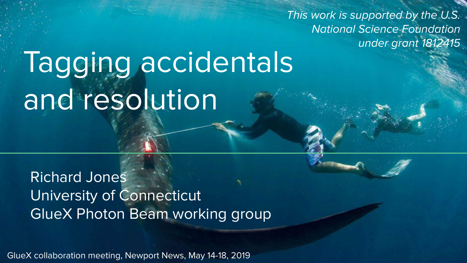This work is supported by the U.S. National Science Foundation under grant 1812415

# Tagging accidentals and resolution

Richard Jones University of Connecticut GlueX Photon Beam working group

GlueX collaboration meeting, Newport News, May 14-18, 2019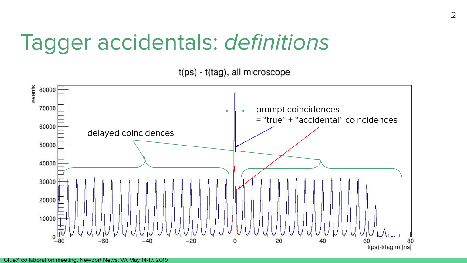#### Tagger accidentals: definitions

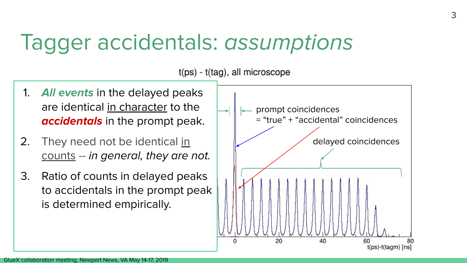### Tagger accidentals: assumptions

#### $t(ps) - t(taq)$ , all microscope

- 1. **All events** in the delayed peaks are identical in character to the **accidentals** in the prompt peak.
- 2. They need not be identical in counts -- in general, they are not.
- 3. Ratio of counts in delayed peaks to accidentals in the prompt peak is determined empirically.

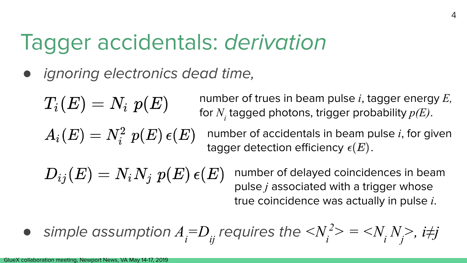### Tagger accidentals: derivation

ignoring electronics dead time,

$$
T_i(E)=N_i\,\,p(E)
$$

number of trues in beam pulse *i*, tagger energy *E,* for  $N_{i}$  tagged photons, trigger probability  $p(E)$ .

$$
A_i(E)=N_i^2\,\,p(E)\,\epsilon(E)
$$

number of accidentals in beam pulse *i*, for given tagger detection efficiency  $\epsilon(E)$ .

 $D_{ij}(E) = N_i N_j p(E) \epsilon(E)$ number of delayed coincidences in beam pulse *j* associated with a trigger whose true coincidence was actually in pulse *i*.

• simple assumption 
$$
A_i = D_{ij}
$$
 requires the  $\langle N_i^2 \rangle = \langle N_i N_j \rangle$ ,  $i \neq j$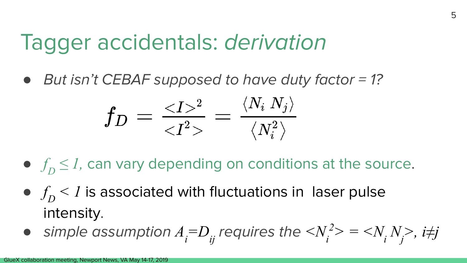#### Tagger accidentals: derivation

● *But isn't CEBAF supposed to have duty factor = 1?* 

$$
f_D = \tfrac{^2}{<\!I^2>} = \tfrac{\langle N_i \: N_j \rangle}{\langle N_i^2 \rangle}
$$

- $\bullet$   $f_D \leq I$ , can vary depending on conditions at the source.
- $\bullet$   $f_D$  < *1* is associated with fluctuations in laser pulse intensity.
- simple assumption  $A_i = D_{ij}$  requires the  $\langle N_i^2 \rangle = \langle N_i N_j \rangle$ , i#j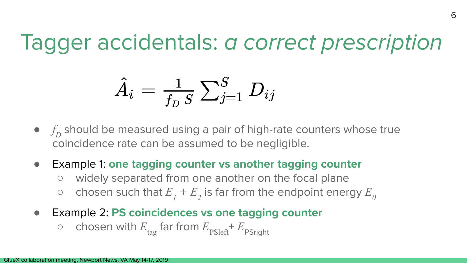#### Tagger accidentals: a correct prescription

$$
\hat{A}_i = \tfrac{1}{f_D \, S} \, {\textstyle \sum_{j=1}^S \, D_{ij}}
$$

- $f_D$  should be measured using a pair of high-rate counters whose true coincidence rate can be assumed to be negligible.
- Example 1: **one tagging counter vs another tagging counter**
	- widely separated from one another on the focal plane
	- $\circ$  chosen such that  $E_1 + E_2$  is far from the endpoint energy  $E_0$
- Example 2: **PS coincidences vs one tagging counter**
	- $\circ$  chosen with  $E_{\text{tag}}$  far from  $E_{\text{psleft}} + E_{\text{psright}}$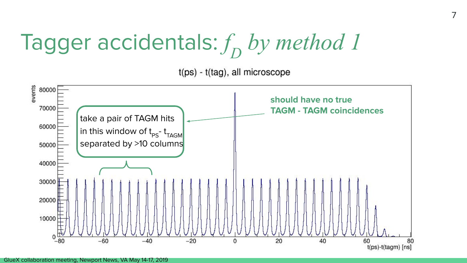# Tagger accidentals:  $f\!\! b$ y method 1

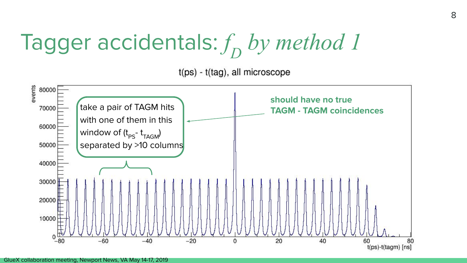# Tagger accidentals:  $f\!\! b$ y method 1

 $t(ps) - t(taq)$ , all microscope

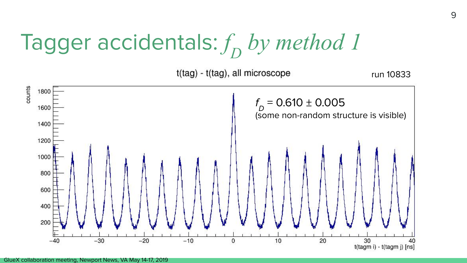# Tagger accidentals:  $f\!\! b$ y method 1

t(tag) - t(tag), all microscope



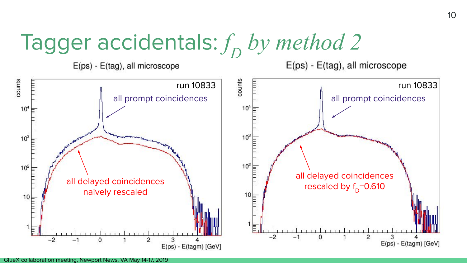# Tagger accidentals:  $f_{\overline{D}}$  by method 2

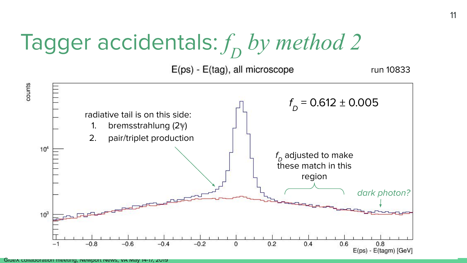# Tagger accidentals:  $f\!D}$  by method 2



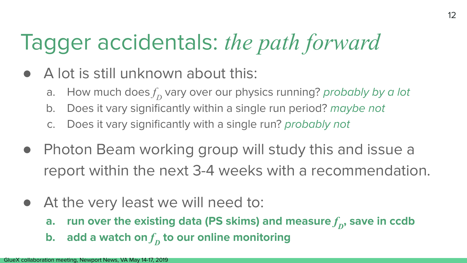### Tagger accidentals: *the path forward*

- A lot is still unknown about this:
	- a. How much does $f_{\!D}^{}$  vary over our physics running? *probably by a lot*
	- b. Does it vary significantly within a single run period? maybe not
	- c. Does it vary significantly with a single run? probably not
- Photon Beam working group will study this and issue a report within the next 3-4 weeks with a recommendation.
- At the very least we will need to:
	- **a.**  $\;$  run over the existing data (PS skims) and measure  $f_{\overline{D}}$ , save in ccdb
	- **b.**  $\,$  add a watch on  $f\hskip-2.5pt_{D}$  to our online monitoring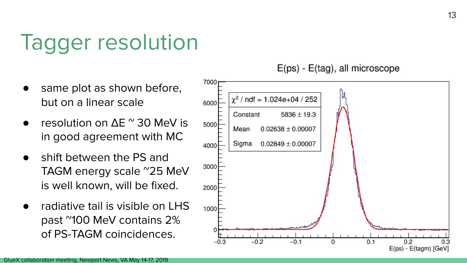### Tagger resolution

- same plot as shown before, but on a linear scale
- resolution on  $\Delta$ E  $^{\circ}$  30 MeV is in good agreement with MC
- shift between the PS and TAGM energy scale ~25 MeV is well known, will be fixed.
- radiative tail is visible on LHS past ~100 MeV contains 2% of PS-TAGM coincidences.

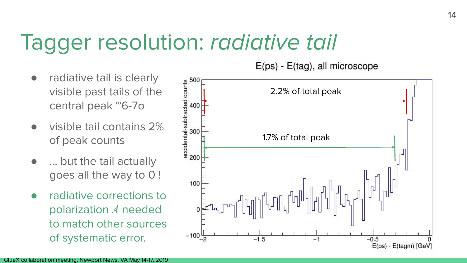### Tagger resolution: radiative tail

- radiative tail is clearly visible past tails of the central peak ~6-7σ
- visible tail contains 2% of peak counts
- ... but the tail actually goes all the way to 0 !
- radiative corrections to polarization *A* needed to match other sources of systematic error.

accidental-subtracted counts<br>20<br>20<br>20<br>20<br>20 2.2% of total peak 1.7% of total peak 200 100  $-100\frac{1}{2}$  $-1.5$  $-1$  $-0.5$ E(ps) - E(tagm) [GeV]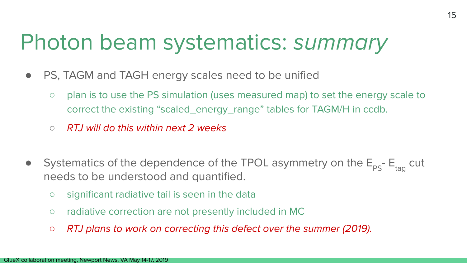### Photon beam systematics: summary

- PS, TAGM and TAGH energy scales need to be unified
	- plan is to use the PS simulation (uses measured map) to set the energy scale to correct the existing "scaled\_energy\_range" tables for TAGM/H in ccdb.
	- $\circ$  RTJ will do this within next 2 weeks
- Systematics of the dependence of the TPOL asymmetry on the  $E_{PS}$   $E_{\text{tan}}$  cut needs to be understood and quantified.
	- significant radiative tail is seen in the data
	- radiative correction are not presently included in MC
	- *○* RTJ plans to work on correcting this defect over the summer (2019).